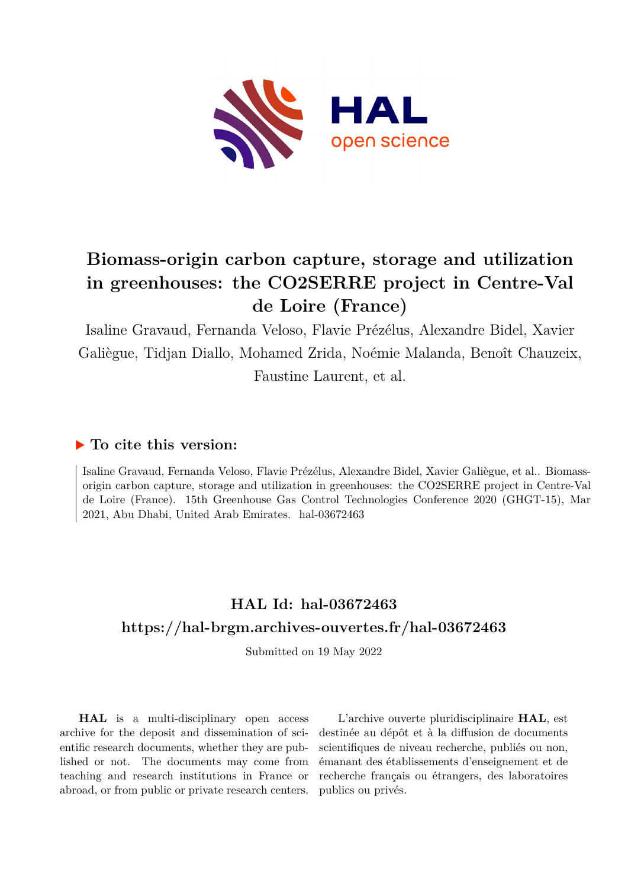

# **Biomass-origin carbon capture, storage and utilization in greenhouses: the CO2SERRE project in Centre-Val de Loire (France)**

Isaline Gravaud, Fernanda Veloso, Flavie Prézélus, Alexandre Bidel, Xavier Galiègue, Tidjan Diallo, Mohamed Zrida, Noémie Malanda, Benoît Chauzeix, Faustine Laurent, et al.

### **To cite this version:**

Isaline Gravaud, Fernanda Veloso, Flavie Prézélus, Alexandre Bidel, Xavier Galiègue, et al.. Biomassorigin carbon capture, storage and utilization in greenhouses: the CO2SERRE project in Centre-Val de Loire (France). 15th Greenhouse Gas Control Technologies Conference 2020 (GHGT-15), Mar 2021, Abu Dhabi, United Arab Emirates. hal-03672463

## **HAL Id: hal-03672463 <https://hal-brgm.archives-ouvertes.fr/hal-03672463>**

Submitted on 19 May 2022

**HAL** is a multi-disciplinary open access archive for the deposit and dissemination of scientific research documents, whether they are published or not. The documents may come from teaching and research institutions in France or abroad, or from public or private research centers.

L'archive ouverte pluridisciplinaire **HAL**, est destinée au dépôt et à la diffusion de documents scientifiques de niveau recherche, publiés ou non, émanant des établissements d'enseignement et de recherche français ou étrangers, des laboratoires publics ou privés.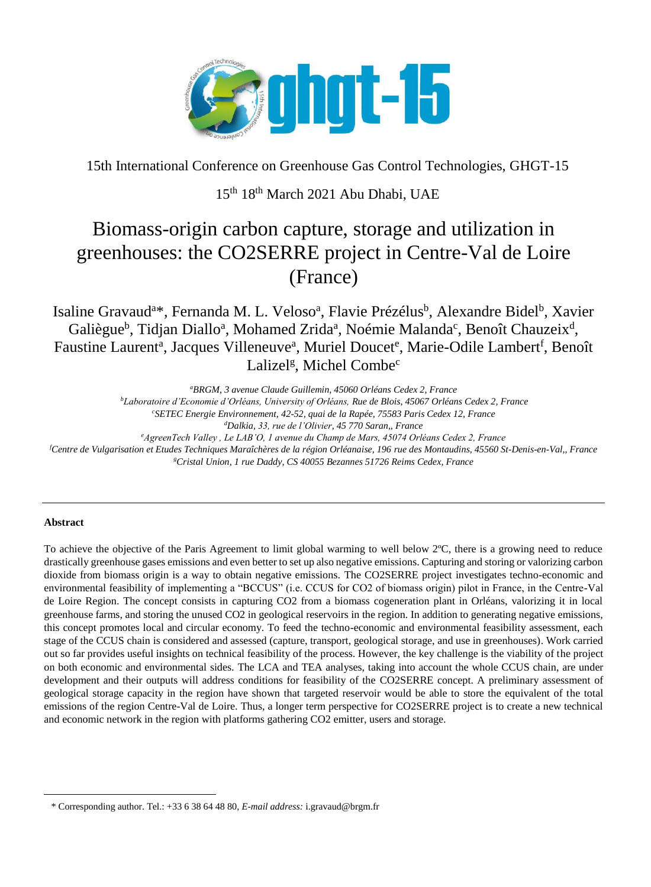

15th International Conference on Greenhouse Gas Control Technologies, GHGT-15

### 15th 18th March 2021 Abu Dhabi, UAE

## Biomass-origin carbon capture, storage and utilization in greenhouses: the CO2SERRE project in Centre-Val de Loire (France)

Isaline Gravaud<sup>a\*</sup>, Fernanda M. L. Veloso<sup>a</sup>, Flavie Prézélus<sup>b</sup>, Alexandre Bidel<sup>b</sup>, Xavier Galiègue<sup>b</sup>, Tidjan Diallo<sup>a</sup>, Mohamed Zrida<sup>a</sup>, Noémie Malanda<sup>c</sup>, Benoît Chauzeix<sup>d</sup>, Faustine Laurent<sup>a</sup>, Jacques Villeneuve<sup>a</sup>, Muriel Doucet<sup>e</sup>, Marie-Odile Lambert<sup>f</sup>, Benoît Lalizel<sup>g</sup>, Michel Combe<sup>c</sup>

*<sup>a</sup>BRGM, 3 avenue Claude Guillemin, 45060 Orléans Cedex 2, France*

*<sup>b</sup>Laboratoire d'Economie d'Orléans, University of Orléans, Rue de Blois, 45067 Orléans Cedex 2, France*

*<sup>c</sup>SETEC Energie Environnement, 42-52, quai de la Rapée, 75583 Paris Cedex 12, France*

*<sup>d</sup>Dalkia, 33, rue de l'Olivier, 45 770 Saran,, France*

*<sup>e</sup>AgreenTech Valley , Le LAB'O, 1 avenue du Champ de Mars, 45074 Orléans Cedex 2, France*

*<sup>f</sup>Centre de Vulgarisation et Etudes Techniques Maraîchères de la région Orléanaise, 196 rue des Montaudins, 45560 St-Denis-en-Val,, France <sup>g</sup>Cristal Union, 1 rue Daddy, CS 40055 Bezannes 51726 Reims Cedex, France*

#### **Abstract**

 $\overline{\phantom{a}}$ 

To achieve the objective of the Paris Agreement to limit global warming to well below 2ºC, there is a growing need to reduce drastically greenhouse gases emissions and even better to set up also negative emissions. Capturing and storing or valorizing carbon dioxide from biomass origin is a way to obtain negative emissions. The CO2SERRE project investigates techno-economic and environmental feasibility of implementing a "BCCUS" (i.e. CCUS for CO2 of biomass origin) pilot in France, in the Centre-Val de Loire Region. The concept consists in capturing CO2 from a biomass cogeneration plant in Orléans, valorizing it in local greenhouse farms, and storing the unused CO2 in geological reservoirs in the region. In addition to generating negative emissions, this concept promotes local and circular economy. To feed the techno-economic and environmental feasibility assessment, each stage of the CCUS chain is considered and assessed (capture, transport, geological storage, and use in greenhouses). Work carried out so far provides useful insights on technical feasibility of the process. However, the key challenge is the viability of the project on both economic and environmental sides. The LCA and TEA analyses, taking into account the whole CCUS chain, are under development and their outputs will address conditions for feasibility of the CO2SERRE concept. A preliminary assessment of geological storage capacity in the region have shown that targeted reservoir would be able to store the equivalent of the total emissions of the region Centre-Val de Loire. Thus, a longer term perspective for CO2SERRE project is to create a new technical and economic network in the region with platforms gathering CO2 emitter, users and storage.

<sup>\*</sup> Corresponding author. Tel.: +33 6 38 64 48 80, *E-mail address:* i.gravaud@brgm.fr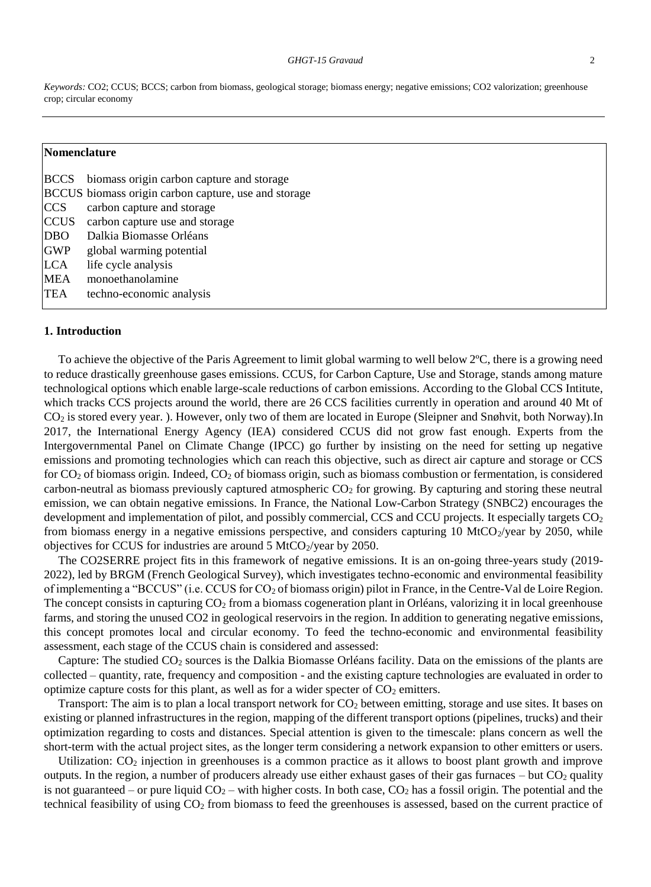*Keywords:* CO2; CCUS; BCCS; carbon from biomass, geological storage; biomass energy; negative emissions; CO2 valorization; greenhouse crop; circular economy

#### **Nomenclature**

|             | BCCS biomass origin carbon capture and storage       |
|-------------|------------------------------------------------------|
|             | BCCUS biomass origin carbon capture, use and storage |
| CCS         | carbon capture and storage                           |
| <b>CCUS</b> | carbon capture use and storage                       |
| <b>DBO</b>  | Dalkia Biomasse Orléans                              |
| <b>GWP</b>  | global warming potential                             |
| <b>LCA</b>  | life cycle analysis                                  |
| <b>MEA</b>  | monoethanolamine                                     |
| <b>TEA</b>  | techno-economic analysis                             |

#### **1. Introduction**

To achieve the objective of the Paris Agreement to limit global warming to well below 2ºC, there is a growing need to reduce drastically greenhouse gases emissions. CCUS, for Carbon Capture, Use and Storage, stands among mature technological options which enable large-scale reductions of carbon emissions. According to the Global CCS Intitute, which tracks CCS projects around the world, there are 26 CCS facilities currently in operation and around 40 Mt of CO<sup>2</sup> is stored every year. ). However, only two of them are located in Europe (Sleipner and Snøhvit, both Norway).In 2017, the International Energy Agency (IEA) considered CCUS did not grow fast enough. Experts from the Intergovernmental Panel on Climate Change (IPCC) go further by insisting on the need for setting up negative emissions and promoting technologies which can reach this objective, such as direct air capture and storage or CCS for  $CO<sub>2</sub>$  of biomass origin. Indeed,  $CO<sub>2</sub>$  of biomass origin, such as biomass combustion or fermentation, is considered carbon-neutral as biomass previously captured atmospheric  $CO<sub>2</sub>$  for growing. By capturing and storing these neutral emission, we can obtain negative emissions. In France, the National Low-Carbon Strategy (SNBC2) encourages the development and implementation of pilot, and possibly commercial, CCS and CCU projects. It especially targets CO<sub>2</sub> from biomass energy in a negative emissions perspective, and considers capturing 10 MtCO $_2$ /year by 2050, while objectives for CCUS for industries are around  $5 \text{ MtCO}_2$ /year by 2050.

The CO2SERRE project fits in this framework of negative emissions. It is an on-going three-years study (2019- 2022), led by BRGM (French Geological Survey), which investigates techno-economic and environmental feasibility of implementing a "BCCUS" (i.e. CCUS for CO<sub>2</sub> of biomass origin) pilot in France, in the Centre-Val de Loire Region. The concept consists in capturing  $CO<sub>2</sub>$  from a biomass cogeneration plant in Orléans, valorizing it in local greenhouse farms, and storing the unused CO2 in geological reservoirs in the region. In addition to generating negative emissions, this concept promotes local and circular economy. To feed the techno-economic and environmental feasibility assessment, each stage of the CCUS chain is considered and assessed:

Capture: The studied CO<sub>2</sub> sources is the Dalkia Biomasse Orléans facility. Data on the emissions of the plants are collected – quantity, rate, frequency and composition - and the existing capture technologies are evaluated in order to optimize capture costs for this plant, as well as for a wider specter of  $CO<sub>2</sub>$  emitters.

Transport: The aim is to plan a local transport network for  $CO<sub>2</sub>$  between emitting, storage and use sites. It bases on existing or planned infrastructures in the region, mapping of the different transport options (pipelines, trucks) and their optimization regarding to costs and distances. Special attention is given to the timescale: plans concern as well the short-term with the actual project sites, as the longer term considering a network expansion to other emitters or users.

Utilization:  $CO<sub>2</sub>$  injection in greenhouses is a common practice as it allows to boost plant growth and improve outputs. In the region, a number of producers already use either exhaust gases of their gas furnaces – but  $CO<sub>2</sub>$  quality is not guaranteed – or pure liquid  $CO_2$  – with higher costs. In both case,  $CO_2$  has a fossil origin. The potential and the technical feasibility of using CO<sup>2</sup> from biomass to feed the greenhouses is assessed, based on the current practice of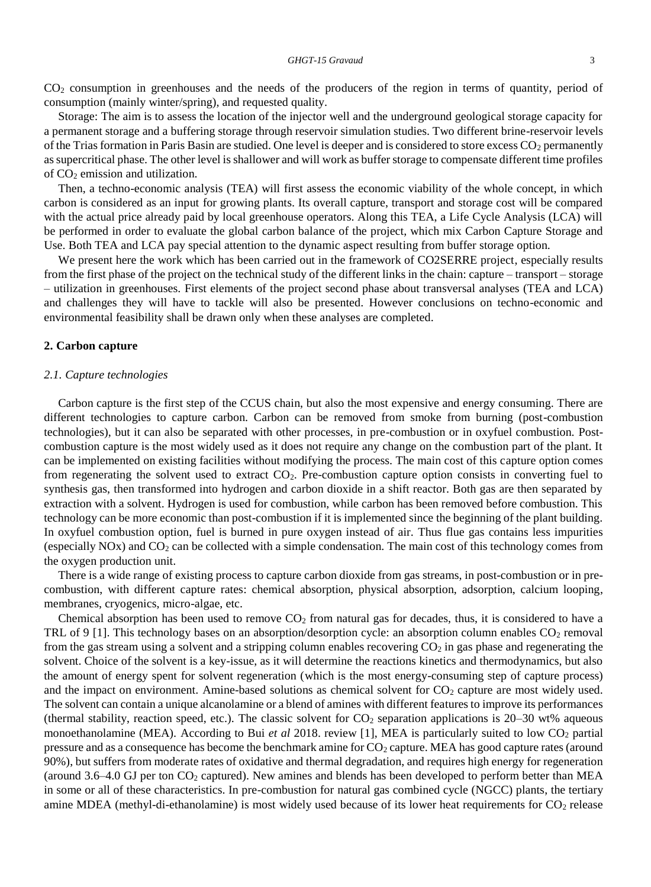CO<sup>2</sup> consumption in greenhouses and the needs of the producers of the region in terms of quantity, period of consumption (mainly winter/spring), and requested quality.

Storage: The aim is to assess the location of the injector well and the underground geological storage capacity for a permanent storage and a buffering storage through reservoir simulation studies. Two different brine-reservoir levels of the Trias formation in Paris Basin are studied. One level is deeper and is considered to store excess  $CO<sub>2</sub>$  permanently as supercritical phase. The other level is shallower and will work as buffer storage to compensate different time profiles of CO<sup>2</sup> emission and utilization.

Then, a techno-economic analysis (TEA) will first assess the economic viability of the whole concept, in which carbon is considered as an input for growing plants. Its overall capture, transport and storage cost will be compared with the actual price already paid by local greenhouse operators. Along this TEA, a Life Cycle Analysis (LCA) will be performed in order to evaluate the global carbon balance of the project, which mix Carbon Capture Storage and Use. Both TEA and LCA pay special attention to the dynamic aspect resulting from buffer storage option.

We present here the work which has been carried out in the framework of CO2SERRE project, especially results from the first phase of the project on the technical study of the different links in the chain: capture – transport – storage – utilization in greenhouses. First elements of the project second phase about transversal analyses (TEA and LCA) and challenges they will have to tackle will also be presented. However conclusions on techno-economic and environmental feasibility shall be drawn only when these analyses are completed.

#### **2. Carbon capture**

#### *2.1. Capture technologies*

Carbon capture is the first step of the CCUS chain, but also the most expensive and energy consuming. There are different technologies to capture carbon. Carbon can be removed from smoke from burning (post-combustion technologies), but it can also be separated with other processes, in pre-combustion or in oxyfuel combustion. Postcombustion capture is the most widely used as it does not require any change on the combustion part of the plant. It can be implemented on existing facilities without modifying the process. The main cost of this capture option comes from regenerating the solvent used to extract CO2. Pre-combustion capture option consists in converting fuel to synthesis gas, then transformed into hydrogen and carbon dioxide in a shift reactor. Both gas are then separated by extraction with a solvent. Hydrogen is used for combustion, while carbon has been removed before combustion. This technology can be more economic than post-combustion if it is implemented since the beginning of the plant building. In oxyfuel combustion option, fuel is burned in pure oxygen instead of air. Thus flue gas contains less impurities (especially NOx) and CO<sup>2</sup> can be collected with a simple condensation. The main cost of this technology comes from the oxygen production unit.

There is a wide range of existing process to capture carbon dioxide from gas streams, in post-combustion or in precombustion, with different capture rates: chemical absorption, physical absorption, adsorption, calcium looping, membranes, cryogenics, micro-algae, etc.

Chemical absorption has been used to remove  $CO<sub>2</sub>$  from natural gas for decades, thus, it is considered to have a TRL of 9 [1]. This technology bases on an absorption/desorption cycle: an absorption column enables  $CO_2$  removal from the gas stream using a solvent and a stripping column enables recovering  $CO<sub>2</sub>$  in gas phase and regenerating the solvent. Choice of the solvent is a key-issue, as it will determine the reactions kinetics and thermodynamics, but also the amount of energy spent for solvent regeneration (which is the most energy-consuming step of capture process) and the impact on environment. Amine-based solutions as chemical solvent for CO<sub>2</sub> capture are most widely used. The solvent can contain a unique alcanolamine or a blend of amines with different features to improve its performances (thermal stability, reaction speed, etc.). The classic solvent for  $CO_2$  separation applications is 20–30 wt% aqueous monoethanolamine (MEA). According to Bui *et al* 2018. review [1], MEA is particularly suited to low CO<sub>2</sub> partial pressure and as a consequence has become the benchmark amine for  $CO<sub>2</sub>$  capture. MEA has good capture rates (around 90%), but suffers from moderate rates of oxidative and thermal degradation, and requires high energy for regeneration (around  $3.6-4.0$  GJ per ton  $CO<sub>2</sub>$  captured). New amines and blends has been developed to perform better than MEA in some or all of these characteristics. In pre-combustion for natural gas combined cycle (NGCC) plants, the tertiary amine MDEA (methyl-di-ethanolamine) is most widely used because of its lower heat requirements for CO<sub>2</sub> release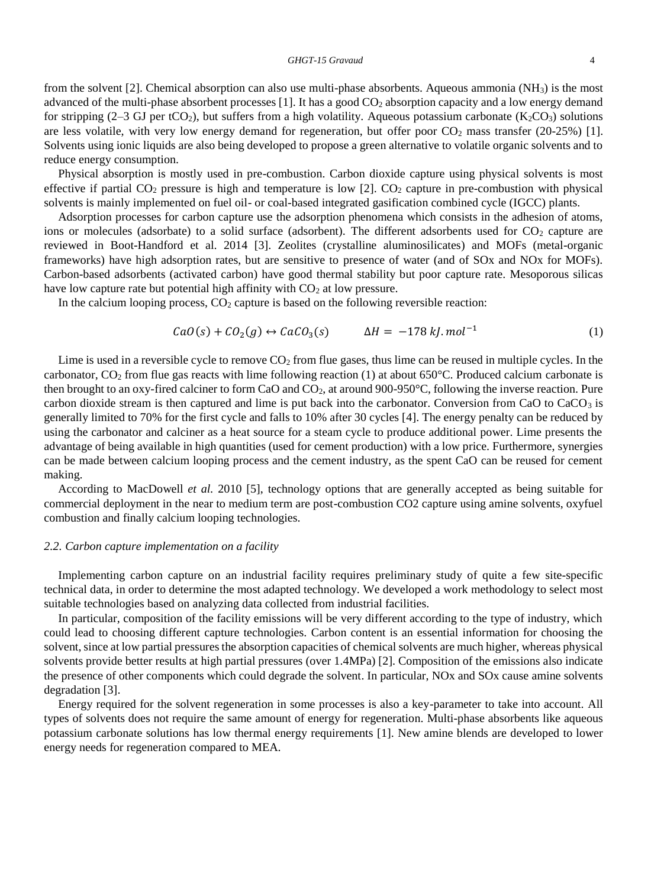from the solvent [2]. Chemical absorption can also use multi-phase absorbents. Aqueous ammonia (NH3) is the most advanced of the multi-phase absorbent processes  $[1]$ . It has a good  $CO<sub>2</sub>$  absorption capacity and a low energy demand for stripping (2–3 GJ per tCO<sub>2</sub>), but suffers from a high volatility. Aqueous potassium carbonate (K<sub>2</sub>CO<sub>3</sub>) solutions are less volatile, with very low energy demand for regeneration, but offer poor  $CO<sub>2</sub>$  mass transfer (20-25%) [1]. Solvents using ionic liquids are also being developed to propose a green alternative to volatile organic solvents and to reduce energy consumption.

Physical absorption is mostly used in pre-combustion. Carbon dioxide capture using physical solvents is most effective if partial  $CO_2$  pressure is high and temperature is low [2].  $CO_2$  capture in pre-combustion with physical solvents is mainly implemented on fuel oil- or coal-based integrated gasification combined cycle (IGCC) plants.

Adsorption processes for carbon capture use the adsorption phenomena which consists in the adhesion of atoms, ions or molecules (adsorbate) to a solid surface (adsorbent). The different adsorbents used for  $CO<sub>2</sub>$  capture are reviewed in Boot-Handford et al. 2014 [3]. Zeolites (crystalline aluminosilicates) and MOFs (metal-organic frameworks) have high adsorption rates, but are sensitive to presence of water (and of SOx and NOx for MOFs). Carbon-based adsorbents (activated carbon) have good thermal stability but poor capture rate. Mesoporous silicas have low capture rate but potential high affinity with  $CO<sub>2</sub>$  at low pressure.

In the calcium looping process,  $CO<sub>2</sub>$  capture is based on the following reversible reaction:

$$
CaO(s) + CO2(g) \leftrightarrow CaCO3(s) \qquad \Delta H = -178 \, kJ \cdot mol^{-1} \tag{1}
$$

Lime is used in a reversible cycle to remove  $CO<sub>2</sub>$  from flue gases, thus lime can be reused in multiple cycles. In the carbonator,  $CO_2$  from flue gas reacts with lime following reaction (1) at about 650 $^{\circ}$ C. Produced calcium carbonate is then brought to an oxy-fired calciner to form CaO and CO2, at around 900-950°C, following the inverse reaction. Pure carbon dioxide stream is then captured and lime is put back into the carbonator. Conversion from CaO to  $CaCO<sub>3</sub>$  is generally limited to 70% for the first cycle and falls to 10% after 30 cycles [4]. The energy penalty can be reduced by using the carbonator and calciner as a heat source for a steam cycle to produce additional power. Lime presents the advantage of being available in high quantities (used for cement production) with a low price. Furthermore, synergies can be made between calcium looping process and the cement industry, as the spent CaO can be reused for cement making.

According to MacDowell *et al.* 2010 [5], technology options that are generally accepted as being suitable for commercial deployment in the near to medium term are post-combustion CO2 capture using amine solvents, oxyfuel combustion and finally calcium looping technologies.

#### *2.2. Carbon capture implementation on a facility*

Implementing carbon capture on an industrial facility requires preliminary study of quite a few site-specific technical data, in order to determine the most adapted technology. We developed a work methodology to select most suitable technologies based on analyzing data collected from industrial facilities.

In particular, composition of the facility emissions will be very different according to the type of industry, which could lead to choosing different capture technologies. Carbon content is an essential information for choosing the solvent, since at low partial pressures the absorption capacities of chemical solvents are much higher, whereas physical solvents provide better results at high partial pressures (over 1.4MPa) [2]. Composition of the emissions also indicate the presence of other components which could degrade the solvent. In particular, NOx and SOx cause amine solvents degradation [3].

Energy required for the solvent regeneration in some processes is also a key-parameter to take into account. All types of solvents does not require the same amount of energy for regeneration. Multi-phase absorbents like aqueous potassium carbonate solutions has low thermal energy requirements [1]. New amine blends are developed to lower energy needs for regeneration compared to MEA.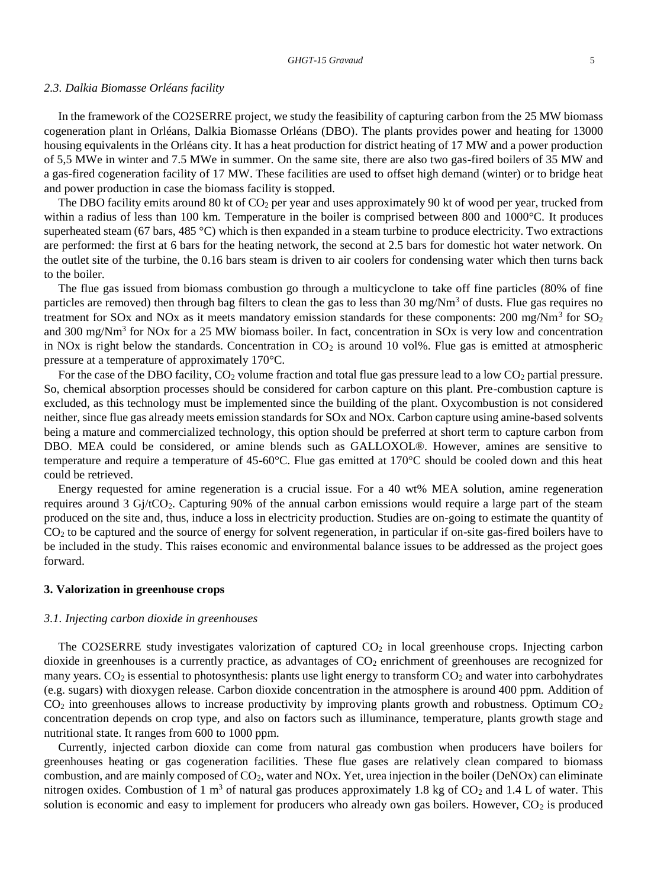#### *2.3. Dalkia Biomasse Orléans facility*

In the framework of the CO2SERRE project, we study the feasibility of capturing carbon from the 25 MW biomass cogeneration plant in Orléans, Dalkia Biomasse Orléans (DBO). The plants provides power and heating for 13000 housing equivalents in the Orléans city. It has a heat production for district heating of 17 MW and a power production of 5,5 MWe in winter and 7.5 MWe in summer. On the same site, there are also two gas-fired boilers of 35 MW and a gas-fired cogeneration facility of 17 MW. These facilities are used to offset high demand (winter) or to bridge heat and power production in case the biomass facility is stopped.

The DBO facility emits around 80 kt of  $CO<sub>2</sub>$  per year and uses approximately 90 kt of wood per year, trucked from within a radius of less than 100 km. Temperature in the boiler is comprised between 800 and 1000°C. It produces [superheated steam](https://www.linguee.fr/anglais-francais/traduction/superheated+steam.html) (67 bars, 485 °C) which is then expanded in a steam turbine to produce electricity. Two extractions are performed: the first at 6 bars for the heating network, the second at 2.5 bars for domestic hot water network. On the outlet site of the turbine, the 0.16 bars steam is driven to air coolers for condensing water which then turns back to the boiler.

The flue gas issued from biomass combustion go through a multicyclone to take off fine particles (80% of fine particles are removed) then through bag filters to clean the gas to less than 30 mg/Nm<sup>3</sup> of dusts. Flue gas requires no treatment for SOx and NOx as it meets mandatory emission standards for these components: 200 mg/Nm<sup>3</sup> for SO<sub>2</sub> and 300 mg/Nm<sup>3</sup> for NOx for a 25 MW biomass boiler. In fact, concentration in SOx is very low and concentration in NOx is right below the standards. Concentration in  $CO<sub>2</sub>$  is around 10 vol%. Flue gas is emitted at atmospheric pressure at a temperature of approximately 170°C.

For the case of the DBO facility,  $CO_2$  volume fraction and total flue gas pressure lead to a low  $CO_2$  partial pressure. So, chemical absorption processes should be considered for carbon capture on this plant. Pre-combustion capture is excluded, as this technology must be implemented since the building of the plant. Oxycombustion is not considered neither, since flue gas already meets emission standards for SOx and NOx. Carbon capture using amine-based solvents being a mature and commercialized technology, this option should be preferred at short term to capture carbon from DBO. MEA could be considered, or amine blends such as GALLOXOL®. However, amines are sensitive to temperature and require a temperature of 45-60°C. Flue gas emitted at 170°C should be cooled down and this heat could be retrieved.

Energy requested for amine regeneration is a crucial issue. For a 40 wt% MEA solution, amine regeneration requires around 3 Gj/tCO2. Capturing 90% of the annual carbon emissions would require a large part of the steam produced on the site and, thus, induce a loss in electricity production. Studies are on-going to estimate the quantity of CO<sup>2</sup> to be captured and the source of energy for solvent regeneration, in particular if on-site gas-fired boilers have to be included in the study. This raises economic and environmental balance issues to be addressed as the project goes forward.

#### **3. Valorization in greenhouse crops**

#### *3.1. Injecting carbon dioxide in greenhouses*

The CO2SERRE study investigates valorization of captured CO<sub>2</sub> in local greenhouse crops. Injecting carbon dioxide in greenhouses is a currently practice, as advantages of  $CO<sub>2</sub>$  enrichment of greenhouses are recognized for many years.  $CO<sub>2</sub>$  is essential to photosynthesis: plants use light energy to transform  $CO<sub>2</sub>$  and water into carbohydrates (e.g. sugars) with dioxygen release. Carbon dioxide concentration in the atmosphere is around 400 ppm. Addition of  $CO<sub>2</sub>$  into greenhouses allows to increase productivity by improving plants growth and robustness. Optimum  $CO<sub>2</sub>$ concentration depends on crop type, and also on factors such as illuminance, temperature, plants growth stage and nutritional state. It ranges from 600 to 1000 ppm.

Currently, injected carbon dioxide can come from natural gas combustion when producers have boilers for greenhouses heating or gas cogeneration facilities. These flue gases are relatively clean compared to biomass combustion, and are mainly composed of CO2, water and NOx. Yet, urea injection in the boiler (DeNOx) can eliminate nitrogen oxides. Combustion of 1 m<sup>3</sup> of natural gas produces approximately 1.8 kg of  $CO<sub>2</sub>$  and 1.4 L of water. This solution is economic and easy to implement for producers who already own gas boilers. However,  $CO<sub>2</sub>$  is produced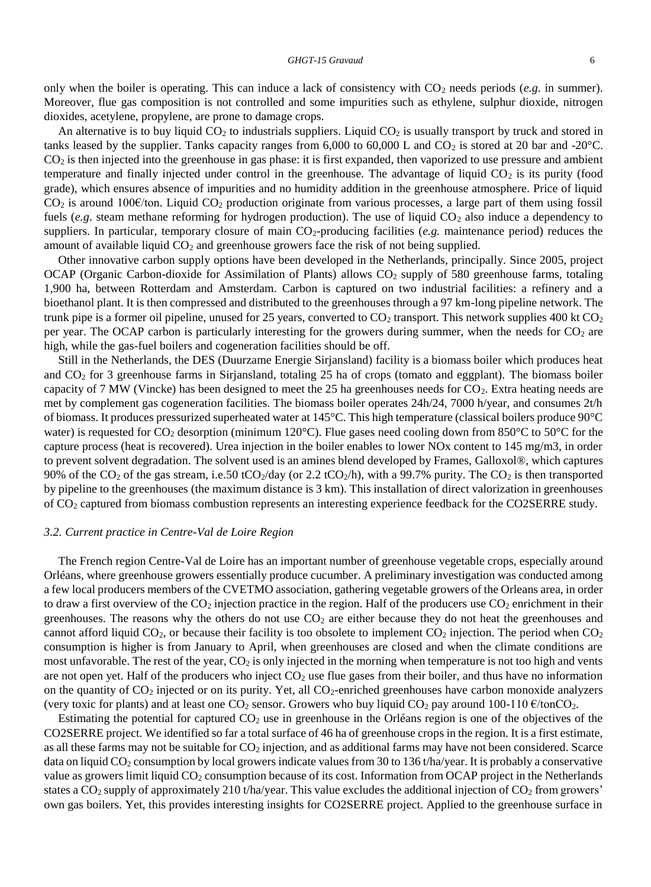only when the boiler is operating. This can induce a lack of consistency with  $CO_2$  needs periods (*e.g.* in summer). Moreover, flue gas composition is not controlled and some impurities such as ethylene, sulphur dioxide, nitrogen dioxides, acetylene, propylene, are prone to damage crops.

An alternative is to buy liquid  $CO<sub>2</sub>$  to industrials suppliers. Liquid  $CO<sub>2</sub>$  is usually transport by truck and stored in tanks leased by the supplier. Tanks capacity ranges from  $6,000$  to  $60,000$  L and  $CO<sub>2</sub>$  is stored at 20 bar and -20°C.  $CO<sub>2</sub>$  is then injected into the greenhouse in gas phase: it is first expanded, then vaporized to use pressure and ambient temperature and finally injected under control in the greenhouse. The advantage of liquid  $CO<sub>2</sub>$  is its purity (food grade), which ensures absence of impurities and no humidity addition in the greenhouse atmosphere. Price of liquid  $CO<sub>2</sub>$  is around 100€/ton. Liquid  $CO<sub>2</sub>$  production originate from various processes, a large part of them using fossil fuels (*e.g.* steam methane reforming for hydrogen production). The use of liquid CO<sub>2</sub> also induce a dependency to suppliers. In particular, temporary closure of main CO<sub>2</sub>-producing facilities (*e.g.* maintenance period) reduces the amount of available liquid  $CO<sub>2</sub>$  and greenhouse growers face the risk of not being supplied.

Other innovative carbon supply options have been developed in the Netherlands, principally. Since 2005, project OCAP (Organic Carbon-dioxide for Assimilation of Plants) allows  $CO<sub>2</sub>$  supply of 580 greenhouse farms, totaling 1,900 ha, between Rotterdam and Amsterdam. Carbon is captured on two industrial facilities: a refinery and a bioethanol plant. It is then compressed and distributed to the greenhouses through a 97 km-long pipeline network. The trunk pipe is a former oil pipeline, unused for 25 years, converted to  $CO<sub>2</sub>$  transport. This network supplies 400 kt  $CO<sub>2</sub>$ per year. The OCAP carbon is particularly interesting for the growers during summer, when the needs for  $CO<sub>2</sub>$  are high, while the gas-fuel boilers and cogeneration facilities should be off.

Still in the Netherlands, the DES (Duurzame Energie Sirjansland) facility is a biomass boiler which produces heat and CO<sup>2</sup> for 3 greenhouse farms in Sirjansland, totaling 25 ha of crops (tomato and eggplant). The biomass boiler capacity of 7 MW (Vincke) has been designed to meet the 25 ha greenhouses needs for CO<sub>2</sub>. Extra heating needs are met by complement gas cogeneration facilities. The biomass boiler operates 24h/24, 7000 h/year, and consumes 2t/h of biomass. It produces pressurized superheated water at 145°C. This high temperature (classical boilers produce 90°C water) is requested for  $CO_2$  desorption (minimum 120 $^{\circ}$ C). Flue gases need cooling down from 850 $^{\circ}$ C to 50 $^{\circ}$ C for the capture process (heat is recovered). Urea injection in the boiler enables to lower NOx content to 145 mg/m3, in order to prevent solvent degradation. The solvent used is an amines blend developed by Frames, Galloxol®, which captures 90% of the CO<sub>2</sub> of the gas stream, i.e.50 tCO<sub>2</sub>/day (or 2.2 tCO<sub>2</sub>/h), with a 99.7% purity. The CO<sub>2</sub> is then transported by pipeline to the greenhouses (the maximum distance is 3 km). This installation of direct valorization in greenhouses of CO<sup>2</sup> captured from biomass combustion represents an interesting experience feedback for the CO2SERRE study.

#### *3.2. Current practice in Centre-Val de Loire Region*

The French region Centre-Val de Loire has an important number of greenhouse vegetable crops, especially around Orléans, where greenhouse growers essentially produce cucumber. A preliminary investigation was conducted among a few local producers members of the CVETMO association, gathering vegetable growers of the Orleans area, in order to draw a first overview of the  $CO_2$  injection practice in the region. Half of the producers use  $CO_2$  enrichment in their greenhouses. The reasons why the others do not use  $CO<sub>2</sub>$  are either because they do not heat the greenhouses and cannot afford liquid  $CO_2$ , or because their facility is too obsolete to implement  $CO_2$  injection. The period when  $CO_2$ consumption is higher is from January to April, when greenhouses are closed and when the climate conditions are most unfavorable. The rest of the year,  $CO<sub>2</sub>$  is only injected in the morning when temperature is not too high and vents are not open yet. Half of the producers who inject  $CO<sub>2</sub>$  use flue gases from their boiler, and thus have no information on the quantity of CO<sup>2</sup> injected or on its purity. Yet, all CO2-enriched greenhouses have carbon monoxide analyzers (very toxic for plants) and at least one CO<sub>2</sub> sensor. Growers who buy liquid CO<sub>2</sub> pay around 100-110  $\epsilon$ /tonCO<sub>2</sub>.

Estimating the potential for captured  $CO<sub>2</sub>$  use in greenhouse in the Orléans region is one of the objectives of the CO2SERRE project. We identified so far a total surface of 46 ha of greenhouse crops in the region. It is a first estimate, as all these farms may not be suitable for  $CO<sub>2</sub>$  injection, and as additional farms may have not been considered. Scarce data on liquid CO<sub>2</sub> consumption by local growers indicate values from 30 to 136 t/ha/year. It is probably a conservative value as growers limit liquid CO<sub>2</sub> consumption because of its cost. Information from OCAP project in the Netherlands states a  $CO<sub>2</sub>$  supply of approximately 210 t/ha/year. This value excludes the additional injection of  $CO<sub>2</sub>$  from growers' own gas boilers. Yet, this provides interesting insights for CO2SERRE project. Applied to the greenhouse surface in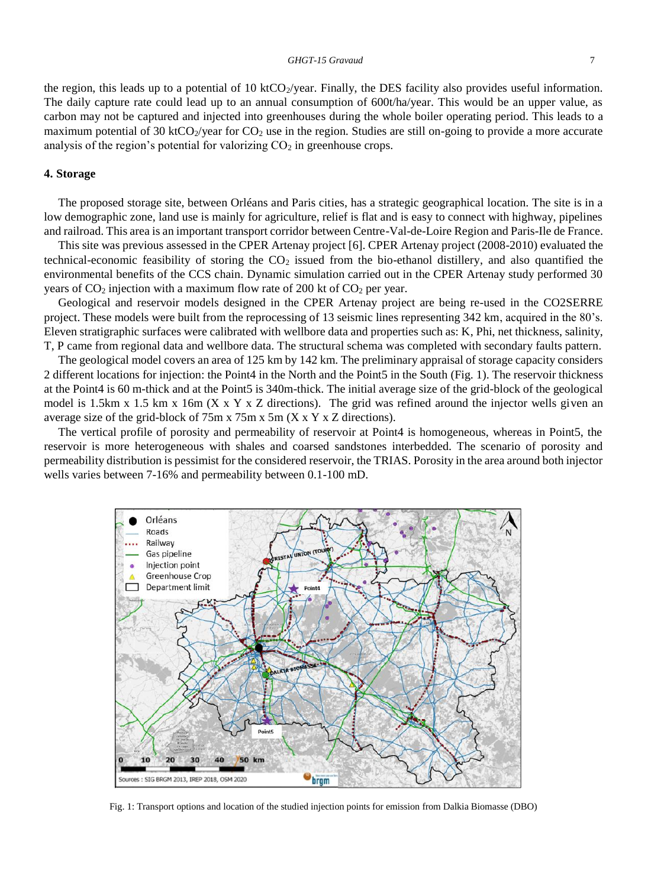the region, this leads up to a potential of 10 ktCO $_2$ /year. Finally, the DES facility also provides useful information. The daily capture rate could lead up to an annual consumption of 600t/ha/year. This would be an upper value, as carbon may not be captured and injected into greenhouses during the whole boiler operating period. This leads to a maximum potential of 30 ktCO $_2$ /year for CO<sub>2</sub> use in the region. Studies are still on-going to provide a more accurate analysis of the region's potential for valorizing  $CO<sub>2</sub>$  in greenhouse crops.

#### **4. Storage**

The proposed storage site, between Orléans and Paris cities, has a strategic geographical location. The site is in a low demographic zone, land use is mainly for agriculture, relief is flat and is easy to connect with highway, pipelines and railroad. This area is an important transport corridor between Centre-Val-de-Loire Region and Paris-Ile de France.

This site was previous assessed in the CPER Artenay project [6]. CPER Artenay project (2008-2010) evaluated the technical-economic feasibility of storing the  $CO<sub>2</sub>$  issued from the bio-ethanol distillery, and also quantified the environmental benefits of the CCS chain. Dynamic simulation carried out in the CPER Artenay study performed 30 years of  $CO_2$  injection with a maximum flow rate of 200 kt of  $CO_2$  per year.

Geological and reservoir models designed in the CPER Artenay project are being re-used in the CO2SERRE project. These models were built from the reprocessing of 13 seismic lines representing 342 km, acquired in the 80's. Eleven stratigraphic surfaces were calibrated with wellbore data and properties such as: K, Phi, net thickness, salinity, T, P came from regional data and wellbore data. The structural schema was completed with secondary faults pattern.

The geological model covers an area of 125 km by 142 km. The preliminary appraisal of storage capacity considers 2 different locations for injection: the Point4 in the North and the Point5 in the South [\(Fig. 1\)](#page-7-0). The reservoir thickness at the Point4 is 60 m-thick and at the Point5 is 340m-thick. The initial average size of the grid-block of the geological model is 1.5km x 1.5 km x 16m (X x Y x Z directions). The grid was refined around the injector wells given an average size of the grid-block of 75m x 75m x 5m (X x Y x Z directions).

The vertical profile of porosity and permeability of reservoir at Point4 is homogeneous, whereas in Point5, the reservoir is more heterogeneous with shales and coarsed sandstones interbedded. The scenario of porosity and permeability distribution is pessimist for the considered reservoir, the TRIAS. Porosity in the area around both injector wells varies between 7-16% and permeability between 0.1-100 mD.



<span id="page-7-0"></span>Fig. 1: Transport options and location of the studied injection points for emission from Dalkia Biomasse (DBO)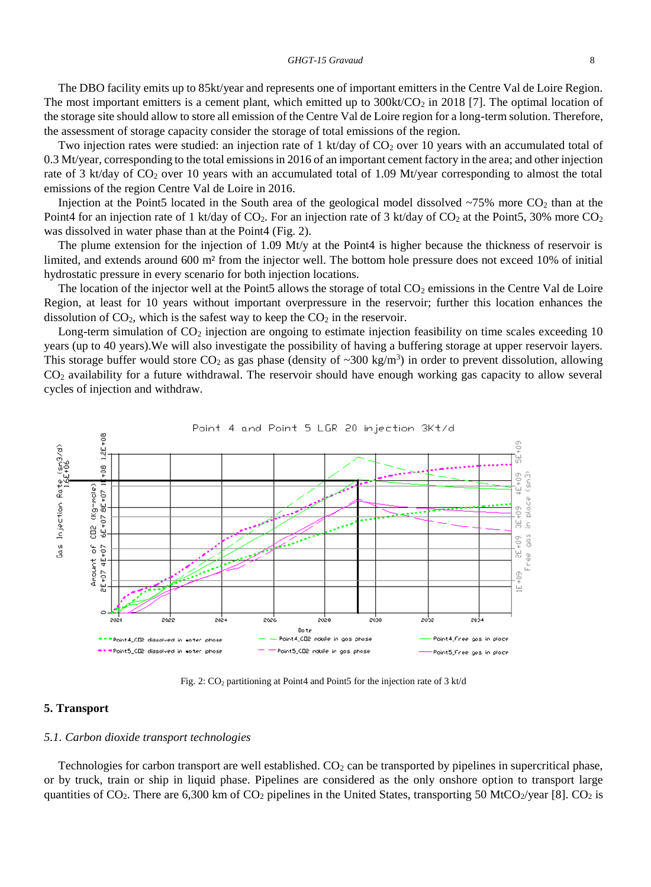The DBO facility emits up to 85kt/year and represents one of important emitters in the Centre Val de Loire Region. The most important emitters is a cement plant, which emitted up to  $300kt/CO<sub>2</sub>$  in 2018 [7]. The optimal location of the storage site should allow to store all emission of the Centre Val de Loire region for a long-term solution. Therefore, the assessment of storage capacity consider the storage of total emissions of the region.

Two injection rates were studied: an injection rate of 1 kt/day of  $CO<sub>2</sub>$  over 10 years with an accumulated total of 0.3 Mt/year, corresponding to the total emissions in 2016 of an important cement factory in the area; and other injection rate of 3 kt/day of CO<sub>2</sub> over 10 years with an accumulated total of 1.09 Mt/year corresponding to almost the total emissions of the region Centre Val de Loire in 2016.

Injection at the Point5 located in the South area of the geological model dissolved  $\sim$ 75% more CO<sub>2</sub> than at the Point4 for an injection rate of 1 kt/day of CO<sub>2</sub>. For an injection rate of 3 kt/day of CO<sub>2</sub> at the Point5, 30% more CO<sub>2</sub> was dissolved in water phase than at the Point4 [\(Fig. 2\)](#page-8-0).

The plume extension for the injection of 1.09 Mt/y at the Point4 is higher because the thickness of reservoir is limited, and extends around 600 m² from the injector well. The bottom hole pressure does not exceed 10% of initial hydrostatic pressure in every scenario for both injection locations.

The location of the injector well at the Point5 allows the storage of total  $CO<sub>2</sub>$  emissions in the Centre Val de Loire Region, at least for 10 years without important overpressure in the reservoir; further this location enhances the dissolution of  $CO<sub>2</sub>$ , which is the safest way to keep the  $CO<sub>2</sub>$  in the reservoir.

Long-term simulation of  $CO<sub>2</sub>$  injection are ongoing to estimate injection feasibility on time scales exceeding 10 years (up to 40 years).We will also investigate the possibility of having a buffering storage at upper reservoir layers. This storage buffer would store  $CO_2$  as gas phase (density of ~300 kg/m<sup>3</sup>) in order to prevent dissolution, allowing CO<sup>2</sup> availability for a future withdrawal. The reservoir should have enough working gas capacity to allow several cycles of injection and withdraw.



Fig. 2:  $CO<sub>2</sub>$  partitioning at Point4 and Point5 for the injection rate of 3 kt/d

#### <span id="page-8-0"></span>**5. Transport**

#### *5.1. Carbon dioxide transport technologies*

Technologies for carbon transport are well established. CO<sub>2</sub> can be transported by pipelines in supercritical phase, or by truck, train or ship in liquid phase. Pipelines are considered as the only onshore option to transport large quantities of  $CO_2$ . There are 6,300 km of  $CO_2$  pipelines in the United States, transporting 50 MtCO<sub>2</sub>/year [8]. CO<sub>2</sub> is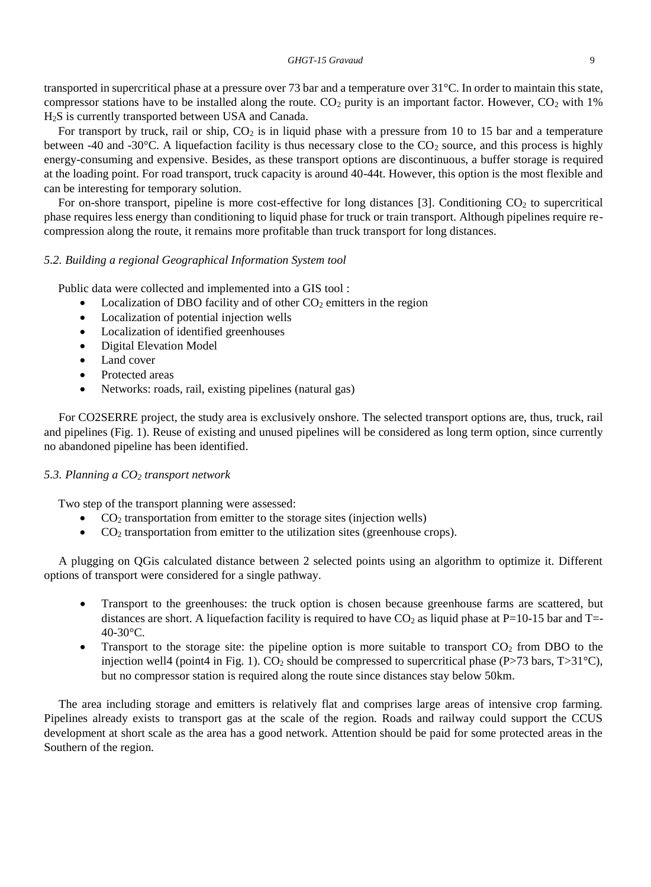transported in supercritical phase at a pressure over 73 bar and a temperature over 31°C. In order to maintain this state, compressor stations have to be installed along the route.  $CO<sub>2</sub>$  purity is an important factor. However,  $CO<sub>2</sub>$  with 1% H2S is currently transported between USA and Canada.

For transport by truck, rail or ship,  $CO<sub>2</sub>$  is in liquid phase with a pressure from 10 to 15 bar and a temperature between -40 and -30 $^{\circ}$ C. A liquefaction facility is thus necessary close to the CO<sub>2</sub> source, and this process is highly energy-consuming and expensive. Besides, as these transport options are discontinuous, a buffer storage is required at the loading point. For road transport, truck capacity is around 40-44t. However, this option is the most flexible and can be interesting for temporary solution.

For on-shore transport, pipeline is more cost-effective for long distances [3]. Conditioning  $CO<sub>2</sub>$  to supercritical phase requires less energy than conditioning to liquid phase for truck or train transport. Although pipelines require recompression along the route, it remains more profitable than truck transport for long distances.

#### *5.2. Building a regional Geographical Information System tool*

Public data were collected and implemented into a GIS tool :

- Localization of DBO facility and of other  $CO<sub>2</sub>$  emitters in the region
- Localization of potential injection wells
- Localization of identified greenhouses
- Digital Elevation Model
- Land cover
- Protected areas
- Networks: roads, rail, existing pipelines (natural gas)

For CO2SERRE project, the study area is exclusively onshore. The selected transport options are, thus, truck, rail and pipelines [\(Fig. 1\)](#page-7-0). Reuse of existing and unused pipelines will be considered as long term option, since currently no abandoned pipeline has been identified.

#### *5.3. Planning a CO<sup>2</sup> transport network*

Two step of the transport planning were assessed:

- CO<sup>2</sup> transportation from emitter to the storage sites (injection wells)
- $CO<sub>2</sub>$  transportation from emitter to the utilization sites (greenhouse crops).

A plugging on QGis calculated distance between 2 selected points using an algorithm to optimize it. Different options of transport were considered for a single pathway.

- Transport to the greenhouses: the truck option is chosen because greenhouse farms are scattered, but distances are short. A liquefaction facility is required to have  $CO<sub>2</sub>$  as liquid phase at P=10-15 bar and T=-40-30°C.
- Transport to the storage site: the pipeline option is more suitable to transport  $CO<sub>2</sub>$  from DBO to the injection well4 (point4 i[n Fig. 1\)](#page-7-0). CO<sub>2</sub> should be compressed to supercritical phase (P>73 bars, T>31<sup>°</sup>C), but no compressor station is required along the route since distances stay below 50km.

The area including storage and emitters is relatively flat and comprises large areas of intensive crop farming. Pipelines already exists to transport gas at the scale of the region. Roads and railway could support the CCUS development at short scale as the area has a good network. Attention should be paid for some protected areas in the Southern of the region.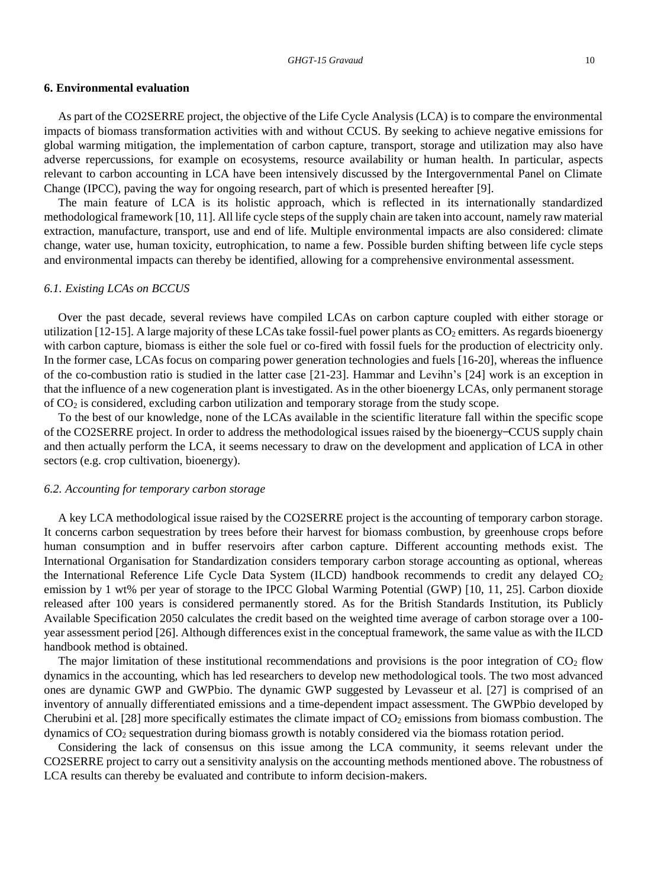#### **6. Environmental evaluation**

As part of the CO2SERRE project, the objective of the Life Cycle Analysis (LCA) is to compare the environmental impacts of biomass transformation activities with and without CCUS. By seeking to achieve negative emissions for global warming mitigation, the implementation of carbon capture, transport, storage and utilization may also have adverse repercussions, for example on ecosystems, resource availability or human health. In particular, aspects relevant to carbon accounting in LCA have been intensively discussed by the Intergovernmental Panel on Climate Change (IPCC), paving the way for ongoing research, part of which is presented hereafter [9].

The main feature of LCA is its holistic approach, which is reflected in its internationally standardized methodological framework [10, 11]. All life cycle steps of the supply chain are taken into account, namely raw material extraction, manufacture, transport, use and end of life. Multiple environmental impacts are also considered: climate change, water use, human toxicity, eutrophication, to name a few. Possible burden shifting between life cycle steps and environmental impacts can thereby be identified, allowing for a comprehensive environmental assessment.

#### *6.1. Existing LCAs on BCCUS*

Over the past decade, several reviews have compiled LCAs on carbon capture coupled with either storage or utilization [12-15]. A large majority of these LCAs take fossil-fuel power plants as  $CO<sub>2</sub>$  emitters. As regards bioenergy with carbon capture, biomass is either the sole fuel or co-fired with fossil fuels for the production of electricity only. In the former case, LCAs focus on comparing power generation technologies and fuels [16-20], whereas the influence of the co-combustion ratio is studied in the latter case [21-23]. Hammar and Levihn's [24] work is an exception in that the influence of a new cogeneration plant is investigated. As in the other bioenergy LCAs, only permanent storage of CO<sup>2</sup> is considered, excluding carbon utilization and temporary storage from the study scope.

To the best of our knowledge, none of the LCAs available in the scientific literature fall within the specific scope of the CO2SERRE project. In order to address the methodological issues raised by the bioenergy ̶CCUS supply chain and then actually perform the LCA, it seems necessary to draw on the development and application of LCA in other sectors (e.g. crop cultivation, bioenergy).

#### *6.2. Accounting for temporary carbon storage*

A key LCA methodological issue raised by the CO2SERRE project is the accounting of temporary carbon storage. It concerns carbon sequestration by trees before their harvest for biomass combustion, by greenhouse crops before human consumption and in buffer reservoirs after carbon capture. Different accounting methods exist. The International Organisation for Standardization considers temporary carbon storage accounting as optional, whereas the International Reference Life Cycle Data System (ILCD) handbook recommends to credit any delayed CO<sub>2</sub> emission by 1 wt% per year of storage to the IPCC Global Warming Potential (GWP) [10, 11, 25]. Carbon dioxide released after 100 years is considered permanently stored. As for the British Standards Institution, its Publicly Available Specification 2050 calculates the credit based on the weighted time average of carbon storage over a 100 year assessment period [26]. Although differences exist in the conceptual framework, the same value as with the ILCD handbook method is obtained.

The major limitation of these institutional recommendations and provisions is the poor integration of  $CO<sub>2</sub>$  flow dynamics in the accounting, which has led researchers to develop new methodological tools. The two most advanced ones are dynamic GWP and GWPbio. The dynamic GWP suggested by Levasseur et al. [27] is comprised of an inventory of annually differentiated emissions and a time-dependent impact assessment. The GWPbio developed by Cherubini et al. [28] more specifically estimates the climate impact of  $CO<sub>2</sub>$  emissions from biomass combustion. The dynamics of CO<sup>2</sup> sequestration during biomass growth is notably considered via the biomass rotation period.

Considering the lack of consensus on this issue among the LCA community, it seems relevant under the CO2SERRE project to carry out a sensitivity analysis on the accounting methods mentioned above. The robustness of LCA results can thereby be evaluated and contribute to inform decision-makers.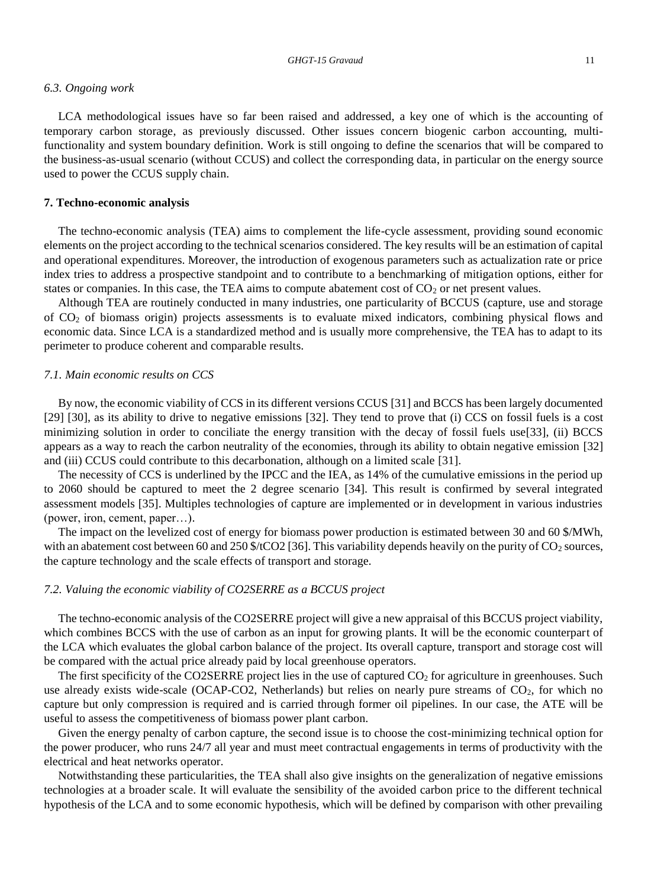#### *6.3. Ongoing work*

LCA methodological issues have so far been raised and addressed, a key one of which is the accounting of temporary carbon storage, as previously discussed. Other issues concern biogenic carbon accounting, multifunctionality and system boundary definition. Work is still ongoing to define the scenarios that will be compared to the business-as-usual scenario (without CCUS) and collect the corresponding data, in particular on the energy source used to power the CCUS supply chain.

#### **7. Techno-economic analysis**

The techno-economic analysis (TEA) aims to complement the life-cycle assessment, providing sound economic elements on the project according to the technical scenarios considered. The key results will be an estimation of capital and operational expenditures. Moreover, the introduction of exogenous parameters such as actualization rate or price index tries to address a prospective standpoint and to contribute to a benchmarking of mitigation options, either for states or companies. In this case, the TEA aims to compute abatement cost of  $CO<sub>2</sub>$  or net present values.

Although TEA are routinely conducted in many industries, one particularity of BCCUS (capture, use and storage of CO<sup>2</sup> of biomass origin) projects assessments is to evaluate mixed indicators, combining physical flows and economic data. Since LCA is a standardized method and is usually more comprehensive, the TEA has to adapt to its perimeter to produce coherent and comparable results.

#### *7.1. Main economic results on CCS*

By now, the economic viability of CCS in its different versions CCUS [31] and BCCS has been largely documented [29] [30], as its ability to drive to negative emissions [32]. They tend to prove that (i) CCS on fossil fuels is a cost minimizing solution in order to conciliate the energy transition with the decay of fossil fuels use[33], (ii) BCCS appears as a way to reach the carbon neutrality of the economies, through its ability to obtain negative emission [32] and (iii) CCUS could contribute to this decarbonation, although on a limited scale [31].

The necessity of CCS is underlined by the IPCC and the IEA, as 14% of the cumulative emissions in the period up to 2060 should be captured to meet the 2 degree scenario [34]. This result is confirmed by several integrated assessment models [35]. Multiples technologies of capture are implemented or in development in various industries (power, iron, cement, paper…).

The impact on the levelized cost of energy for biomass power production is estimated between 30 and 60 \$/MWh, with an abatement cost between 60 and 250 \$/tCO2 [36]. This variability depends heavily on the purity of  $CO_2$  sources, the capture technology and the scale effects of transport and storage.

#### *7.2. Valuing the economic viability of CO2SERRE as a BCCUS project*

The techno-economic analysis of the CO2SERRE project will give a new appraisal of this BCCUS project viability, which combines BCCS with the use of carbon as an input for growing plants. It will be the economic counterpart of the LCA which evaluates the global carbon balance of the project. Its overall capture, transport and storage cost will be compared with the actual price already paid by local greenhouse operators.

The first specificity of the CO2SERRE project lies in the use of captured  $CO<sub>2</sub>$  for agriculture in greenhouses. Such use already exists wide-scale (OCAP-CO2, Netherlands) but relies on nearly pure streams of CO<sub>2</sub>, for which no capture but only compression is required and is carried through former oil pipelines. In our case, the ATE will be useful to assess the competitiveness of biomass power plant carbon.

Given the energy penalty of carbon capture, the second issue is to choose the cost-minimizing technical option for the power producer, who runs 24/7 all year and must meet contractual engagements in terms of productivity with the electrical and heat networks operator.

Notwithstanding these particularities, the TEA shall also give insights on the generalization of negative emissions technologies at a broader scale. It will evaluate the sensibility of the avoided carbon price to the different technical hypothesis of the LCA and to some economic hypothesis, which will be defined by comparison with other prevailing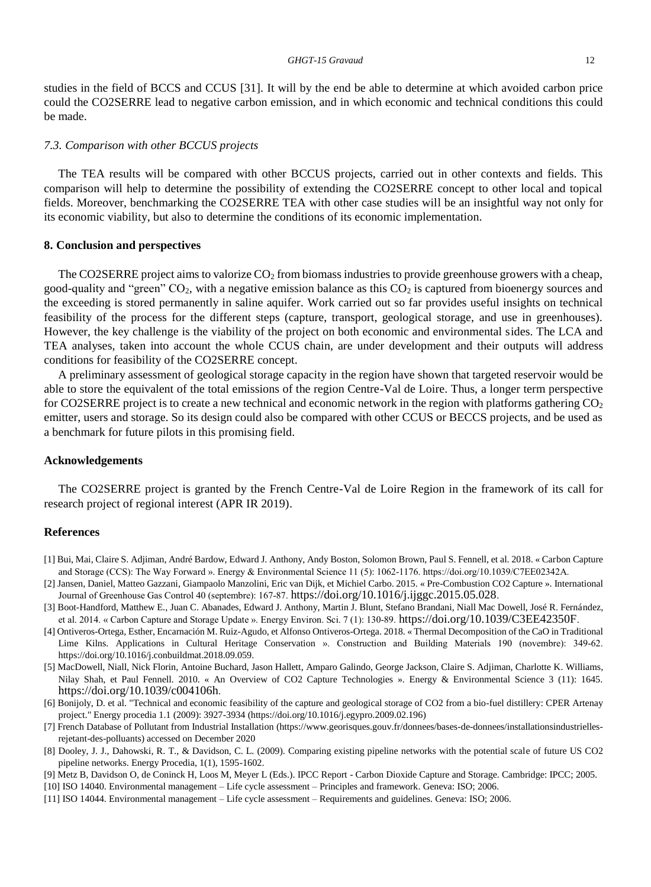studies in the field of BCCS and CCUS [31]. It will by the end be able to determine at which avoided carbon price could the CO2SERRE lead to negative carbon emission, and in which economic and technical conditions this could be made.

#### *7.3. Comparison with other BCCUS projects*

The TEA results will be compared with other BCCUS projects, carried out in other contexts and fields. This comparison will help to determine the possibility of extending the CO2SERRE concept to other local and topical fields. Moreover, benchmarking the CO2SERRE TEA with other case studies will be an insightful way not only for its economic viability, but also to determine the conditions of its economic implementation.

#### **8. Conclusion and perspectives**

The CO2SERRE project aims to valorize  $CO<sub>2</sub>$  from biomass industries to provide greenhouse growers with a cheap, good-quality and "green"  $CO_2$ , with a negative emission balance as this  $CO_2$  is captured from bioenergy sources and the exceeding is stored permanently in saline aquifer. Work carried out so far provides useful insights on technical feasibility of the process for the different steps (capture, transport, geological storage, and use in greenhouses). However, the key challenge is the viability of the project on both economic and environmental sides. The LCA and TEA analyses, taken into account the whole CCUS chain, are under development and their outputs will address conditions for feasibility of the CO2SERRE concept.

A preliminary assessment of geological storage capacity in the region have shown that targeted reservoir would be able to store the equivalent of the total emissions of the region Centre-Val de Loire. Thus, a longer term perspective for CO2SERRE project is to create a new technical and economic network in the region with platforms gathering  $CO<sub>2</sub>$ emitter, users and storage. So its design could also be compared with other CCUS or BECCS projects, and be used as a benchmark for future pilots in this promising field.

#### **Acknowledgements**

The CO2SERRE project is granted by the French Centre-Val de Loire Region in the framework of its call for research project of regional interest (APR IR 2019).

#### **References**

- [1] Bui, Mai, Claire S. Adjiman, André Bardow, Edward J. Anthony, Andy Boston, Solomon Brown, Paul S. Fennell, et al. 2018. « Carbon Capture and Storage (CCS): The Way Forward ». Energy & Environmental Science 11 (5): 1062-1176. https://doi.org/10.1039/C7EE02342A.
- [2] Jansen, Daniel, Matteo Gazzani, Giampaolo Manzolini, Eric van Dijk, et Michiel Carbo. 2015. « Pre-Combustion CO2 Capture ». International Journal of Greenhouse Gas Control 40 (septembre): 167‑87. <https://doi.org/10.1016/j.ijggc.2015.05.028>.
- [3] Boot-Handford, Matthew E., Juan C. Abanades, Edward J. Anthony, Martin J. Blunt, Stefano Brandani, Niall Mac Dowell, José R. Fernández, et al. 2014. « Carbon Capture and Storage Update ». Energy Environ. Sci. 7 (1): 130‑89. <https://doi.org/10.1039/C3EE42350F>.
- [4] Ontiveros-Ortega, Esther, Encarnación M. Ruiz-Agudo, et Alfonso Ontiveros-Ortega. 2018. « Thermal Decomposition of the CaO in Traditional Lime Kilns. Applications in Cultural Heritage Conservation ». Construction and Building Materials 190 (novembre): 349-62. https://doi.org/10.1016/j.conbuildmat.2018.09.059.
- [5] MacDowell, Niall, Nick Florin, Antoine Buchard, Jason Hallett, Amparo Galindo, George Jackson, Claire S. Adjiman, Charlotte K. Williams, Nilay Shah, et Paul Fennell. 2010. « An Overview of CO2 Capture Technologies ». Energy & Environmental Science 3 (11): 1645. <https://doi.org/10.1039/c004106h>.
- [6] Bonijoly, D. et al. "Technical and economic feasibility of the capture and geological storage of CO2 from a bio-fuel distillery: CPER Artenay project." Energy procedia 1.1 (2009): 3927-3934 (https://doi.org/10.1016/j.egypro.2009.02.196)
- [7] French Database of Pollutant from Industrial Installation (https://www.georisques.gouv.fr/donnees/bases-de-donnees/installationsindustriellesrejetant-des-polluants) accessed on December 2020
- [8] Dooley, J. J., Dahowski, R. T., & Davidson, C. L. (2009). Comparing existing pipeline networks with the potential scale of future US CO2 pipeline networks. Energy Procedia, 1(1), 1595-1602.
- [9] Metz B, Davidson O, de Coninck H, Loos M, Meyer L (Eds.). IPCC Report Carbon Dioxide Capture and Storage. Cambridge: IPCC; 2005.
- [10] ISO 14040. Environmental management Life cycle assessment Principles and framework. Geneva: ISO; 2006.
- [11] ISO 14044. Environmental management Life cycle assessment Requirements and guidelines. Geneva: ISO; 2006.